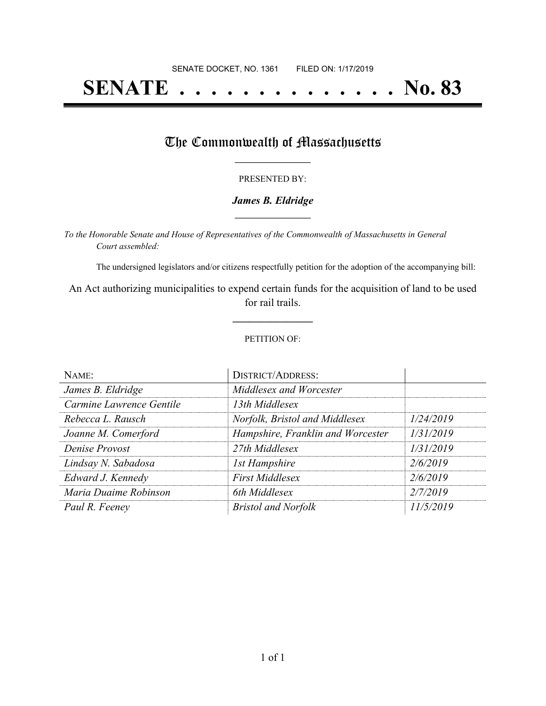# **SENATE . . . . . . . . . . . . . . No. 83**

## The Commonwealth of Massachusetts

#### PRESENTED BY:

#### *James B. Eldridge* **\_\_\_\_\_\_\_\_\_\_\_\_\_\_\_\_\_**

*To the Honorable Senate and House of Representatives of the Commonwealth of Massachusetts in General Court assembled:*

The undersigned legislators and/or citizens respectfully petition for the adoption of the accompanying bill:

An Act authorizing municipalities to expend certain funds for the acquisition of land to be used for rail trails.

**\_\_\_\_\_\_\_\_\_\_\_\_\_\_\_**

#### PETITION OF:

| NAME:                    | <b>DISTRICT/ADDRESS:</b>          |           |
|--------------------------|-----------------------------------|-----------|
| James B. Eldridge        | Middlesex and Worcester           |           |
| Carmine Lawrence Gentile | 13th Middlesex                    |           |
| Rebecca L. Rausch        | Norfolk, Bristol and Middlesex    | 1/24/2019 |
| Joanne M. Comerford      | Hampshire, Franklin and Worcester | 1/31/2019 |
| Denise Provost           | 27th Middlesex                    | 1/31/2019 |
| Lindsay N. Sabadosa      | 1st Hampshire                     | 2/6/2019  |
| Edward J. Kennedy        | <b>First Middlesex</b>            | 2/6/2019  |
| Maria Duaime Robinson    | 6th Middlesex                     | 2/7/2019  |
| Paul R. Feeney           | <b>Bristol and Norfolk</b>        | 11/5/2019 |